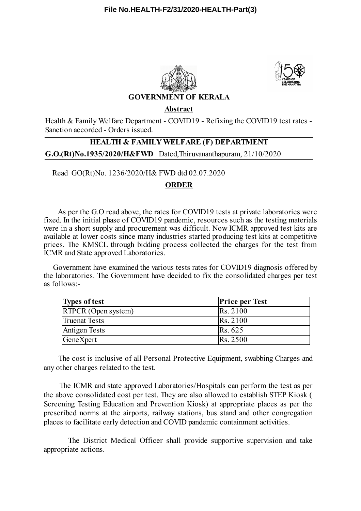



## **GOVERNMENT OF KERALA**

**Abstract**

Health & Family Welfare Department - COVID19 - Refixing the COVID19 test rates - Sanction accorded - Orders issued.

## **G.O.(Rt)No.1935/2020/H&FWD** Dated,Thiruvananthapuram, 21/10/2020 **HEALTH & FAMILY WELFARE (F) DEPARTMENT**

Read GO(Rt)No. 1236/2020/H& FWD dtd 02.07.2020

## **ORDER**

As per the G.O read above, the rates for COVID19 tests at private laboratories were fixed. In the initial phase of COVID19 pandemic, resources such as the testing materials were in a short supply and procurement was difficult. Now ICMR approved test kits are available at lower costs since many industries started producing test kits at competitive prices. The KMSCL through bidding process collected the charges for the test from ICMR and State approved Laboratories.

Government have examined the various tests rates for COVID19 diagnosis offered by the laboratories. The Government have decided to fix the consolidated charges per test as follows:-

| <b>Types of test</b> | <b>Price per Test</b> |
|----------------------|-----------------------|
| RTPCR (Open system)  | Rs. 2100              |
| <b>Truenat Tests</b> | Rs. 2100              |
| <b>Antigen Tests</b> | Rs. 625               |
| GeneXpert            | <b>Rs.</b> 2500       |

The cost is inclusive of all Personal Protective Equipment, swabbing Charges and any other charges related to the test.

The ICMR and state approved Laboratories/Hospitals can perform the test as per the above consolidated cost per test. They are also allowed to establish STEP Kiosk ( Screening Testing Education and Prevention Kiosk) at appropriate places as per the prescribed norms at the airports, railway stations, bus stand and other congregation places to facilitate early detection and COVID pandemic containment activities.

The District Medical Officer shall provide supportive supervision and take appropriate actions.